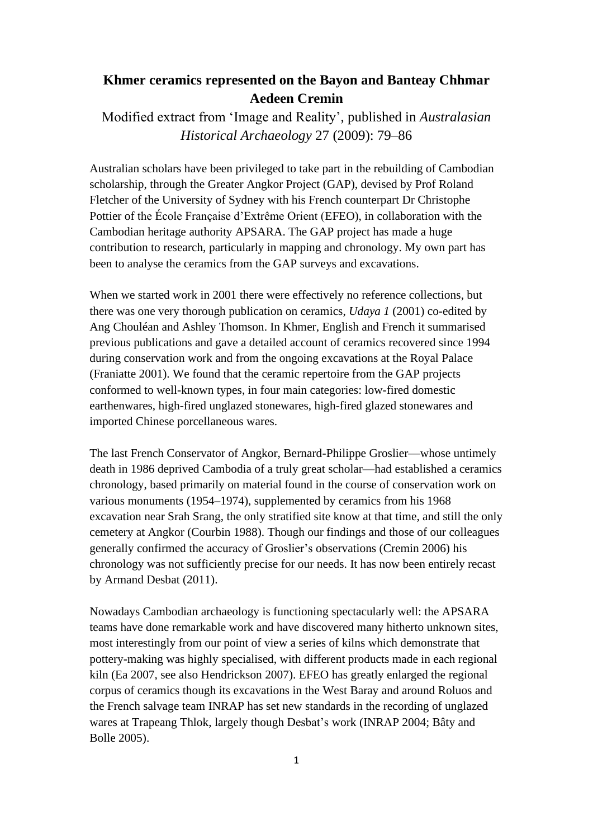## **Khmer ceramics represented on the Bayon and Banteay Chhmar Aedeen Cremin**

Modified extract from 'Image and Reality', published in *Australasian Historical Archaeology* 27 (2009): 79–86

Australian scholars have been privileged to take part in the rebuilding of Cambodian scholarship, through the Greater Angkor Project (GAP), devised by Prof Roland Fletcher of the University of Sydney with his French counterpart Dr Christophe Pottier of the École Française d'Extrême Orient (EFEO), in collaboration with the Cambodian heritage authority APSARA. The GAP project has made a huge contribution to research, particularly in mapping and chronology. My own part has been to analyse the ceramics from the GAP surveys and excavations.

When we started work in 2001 there were effectively no reference collections, but there was one very thorough publication on ceramics, *Udaya 1* (2001) co-edited by Ang Chouléan and Ashley Thomson. In Khmer, English and French it summarised previous publications and gave a detailed account of ceramics recovered since 1994 during conservation work and from the ongoing excavations at the Royal Palace (Franiatte 2001). We found that the ceramic repertoire from the GAP projects conformed to well-known types, in four main categories: low-fired domestic earthenwares, high-fired unglazed stonewares, high-fired glazed stonewares and imported Chinese porcellaneous wares.

The last French Conservator of Angkor, Bernard-Philippe Groslier—whose untimely death in 1986 deprived Cambodia of a truly great scholar—had established a ceramics chronology, based primarily on material found in the course of conservation work on various monuments (1954–1974), supplemented by ceramics from his 1968 excavation near Srah Srang, the only stratified site know at that time, and still the only cemetery at Angkor (Courbin 1988). Though our findings and those of our colleagues generally confirmed the accuracy of Groslier's observations (Cremin 2006) his chronology was not sufficiently precise for our needs. It has now been entirely recast by Armand Desbat (2011).

Nowadays Cambodian archaeology is functioning spectacularly well: the APSARA teams have done remarkable work and have discovered many hitherto unknown sites, most interestingly from our point of view a series of kilns which demonstrate that pottery-making was highly specialised, with different products made in each regional kiln (Ea 2007, see also Hendrickson 2007). EFEO has greatly enlarged the regional corpus of ceramics though its excavations in the West Baray and around Roluos and the French salvage team INRAP has set new standards in the recording of unglazed wares at Trapeang Thlok, largely though Desbat's work (INRAP 2004; Bâty and Bolle 2005).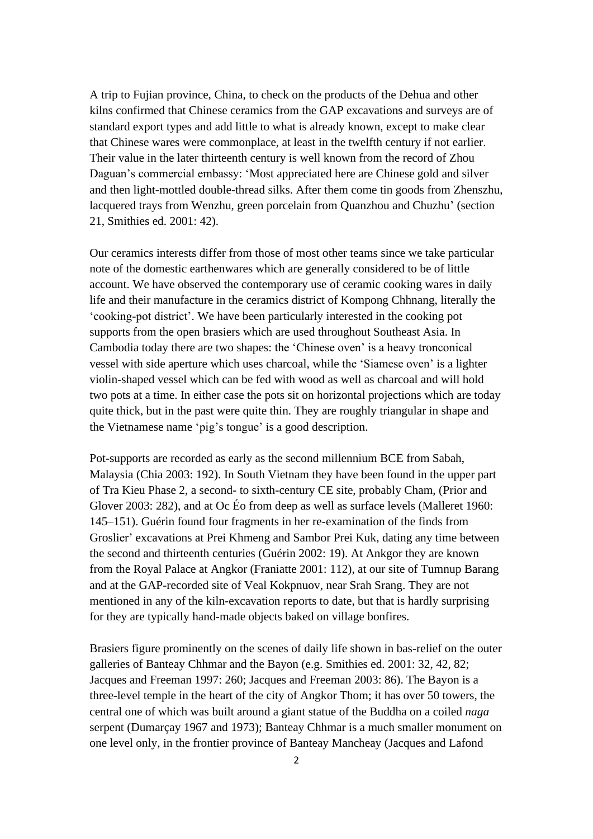A trip to Fujian province, China, to check on the products of the Dehua and other kilns confirmed that Chinese ceramics from the GAP excavations and surveys are of standard export types and add little to what is already known, except to make clear that Chinese wares were commonplace, at least in the twelfth century if not earlier. Their value in the later thirteenth century is well known from the record of Zhou Daguan's commercial embassy: 'Most appreciated here are Chinese gold and silver and then light-mottled double-thread silks. After them come tin goods from Zhenszhu, lacquered trays from Wenzhu, green porcelain from Quanzhou and Chuzhu' (section 21, Smithies ed. 2001: 42).

Our ceramics interests differ from those of most other teams since we take particular note of the domestic earthenwares which are generally considered to be of little account. We have observed the contemporary use of ceramic cooking wares in daily life and their manufacture in the ceramics district of Kompong Chhnang, literally the 'cooking-pot district'. We have been particularly interested in the cooking pot supports from the open brasiers which are used throughout Southeast Asia. In Cambodia today there are two shapes: the 'Chinese oven' is a heavy tronconical vessel with side aperture which uses charcoal, while the 'Siamese oven' is a lighter violin-shaped vessel which can be fed with wood as well as charcoal and will hold two pots at a time. In either case the pots sit on horizontal projections which are today quite thick, but in the past were quite thin. They are roughly triangular in shape and the Vietnamese name 'pig's tongue' is a good description.

Pot-supports are recorded as early as the second millennium BCE from Sabah, Malaysia (Chia 2003: 192). In South Vietnam they have been found in the upper part of Tra Kieu Phase 2, a second- to sixth-century CE site, probably Cham, (Prior and Glover 2003: 282), and at Oc Éo from deep as well as surface levels (Malleret 1960: 145–151). Guérin found four fragments in her re-examination of the finds from Groslier' excavations at Prei Khmeng and Sambor Prei Kuk, dating any time between the second and thirteenth centuries (Guérin 2002: 19). At Ankgor they are known from the Royal Palace at Angkor (Franiatte 2001: 112), at our site of Tumnup Barang and at the GAP-recorded site of Veal Kokpnuov, near Srah Srang. They are not mentioned in any of the kiln-excavation reports to date, but that is hardly surprising for they are typically hand-made objects baked on village bonfires.

Brasiers figure prominently on the scenes of daily life shown in bas-relief on the outer galleries of Banteay Chhmar and the Bayon (e.g. Smithies ed. 2001: 32, 42, 82; Jacques and Freeman 1997: 260; Jacques and Freeman 2003: 86). The Bayon is a three-level temple in the heart of the city of Angkor Thom; it has over 50 towers, the central one of which was built around a giant statue of the Buddha on a coiled *naga* serpent (Dumarçay 1967 and 1973); Banteay Chhmar is a much smaller monument on one level only, in the frontier province of Banteay Mancheay (Jacques and Lafond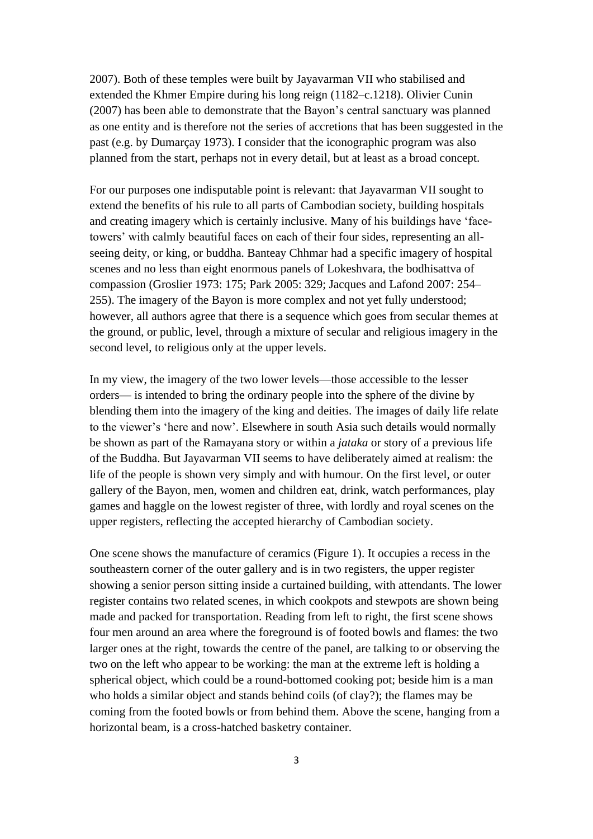2007). Both of these temples were built by Jayavarman VII who stabilised and extended the Khmer Empire during his long reign (1182–c.1218). Olivier Cunin (2007) has been able to demonstrate that the Bayon's central sanctuary was planned as one entity and is therefore not the series of accretions that has been suggested in the past (e.g. by Dumarçay 1973). I consider that the iconographic program was also planned from the start, perhaps not in every detail, but at least as a broad concept.

For our purposes one indisputable point is relevant: that Jayavarman VII sought to extend the benefits of his rule to all parts of Cambodian society, building hospitals and creating imagery which is certainly inclusive. Many of his buildings have 'facetowers' with calmly beautiful faces on each of their four sides, representing an allseeing deity, or king, or buddha. Banteay Chhmar had a specific imagery of hospital scenes and no less than eight enormous panels of Lokeshvara, the bodhisattva of compassion (Groslier 1973: 175; Park 2005: 329; Jacques and Lafond 2007: 254– 255). The imagery of the Bayon is more complex and not yet fully understood; however, all authors agree that there is a sequence which goes from secular themes at the ground, or public, level, through a mixture of secular and religious imagery in the second level, to religious only at the upper levels.

In my view, the imagery of the two lower levels—those accessible to the lesser orders— is intended to bring the ordinary people into the sphere of the divine by blending them into the imagery of the king and deities. The images of daily life relate to the viewer's 'here and now'. Elsewhere in south Asia such details would normally be shown as part of the Ramayana story or within a *jataka* or story of a previous life of the Buddha. But Jayavarman VII seems to have deliberately aimed at realism: the life of the people is shown very simply and with humour. On the first level, or outer gallery of the Bayon, men, women and children eat, drink, watch performances, play games and haggle on the lowest register of three, with lordly and royal scenes on the upper registers, reflecting the accepted hierarchy of Cambodian society.

One scene shows the manufacture of ceramics (Figure 1). It occupies a recess in the southeastern corner of the outer gallery and is in two registers, the upper register showing a senior person sitting inside a curtained building, with attendants. The lower register contains two related scenes, in which cookpots and stewpots are shown being made and packed for transportation. Reading from left to right, the first scene shows four men around an area where the foreground is of footed bowls and flames: the two larger ones at the right, towards the centre of the panel, are talking to or observing the two on the left who appear to be working: the man at the extreme left is holding a spherical object, which could be a round-bottomed cooking pot; beside him is a man who holds a similar object and stands behind coils (of clay?); the flames may be coming from the footed bowls or from behind them. Above the scene, hanging from a horizontal beam, is a cross-hatched basketry container.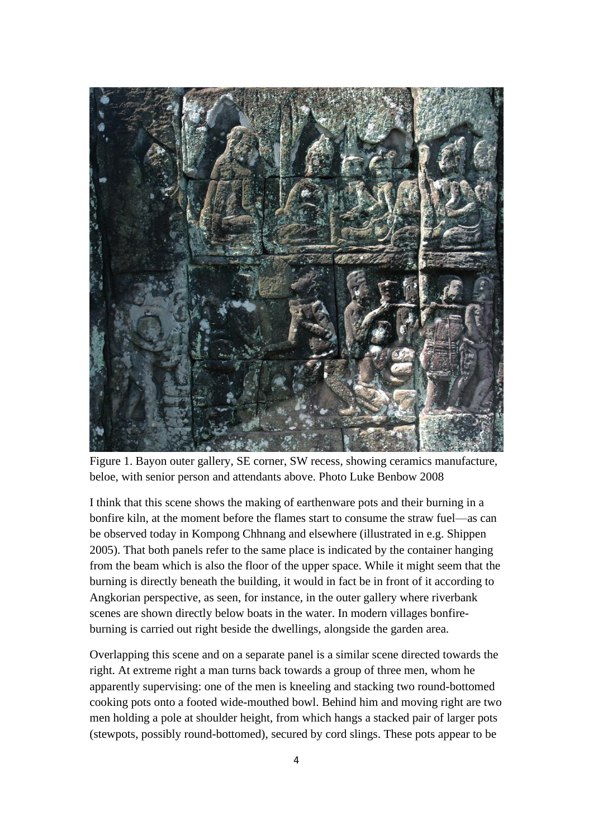

Figure 1. Bayon outer gallery, SE corner, SW recess, showing ceramics manufacture, beloe, with senior person and attendants above. Photo Luke Benbow 2008

I think that this scene shows the making of earthenware pots and their burning in a bonfire kiln, at the moment before the flames start to consume the straw fuel—as can be observed today in Kompong Chhnang and elsewhere (illustrated in e.g. Shippen 2005). That both panels refer to the same place is indicated by the container hanging from the beam which is also the floor of the upper space. While it might seem that the burning is directly beneath the building, it would in fact be in front of it according to Angkorian perspective, as seen, for instance, in the outer gallery where riverbank scenes are shown directly below boats in the water. In modern villages bonfireburning is carried out right beside the dwellings, alongside the garden area.

Overlapping this scene and on a separate panel is a similar scene directed towards the right. At extreme right a man turns back towards a group of three men, whom he apparently supervising: one of the men is kneeling and stacking two round-bottomed cooking pots onto a footed wide-mouthed bowl. Behind him and moving right are two men holding a pole at shoulder height, from which hangs a stacked pair of larger pots (stewpots, possibly round-bottomed), secured by cord slings. These pots appear to be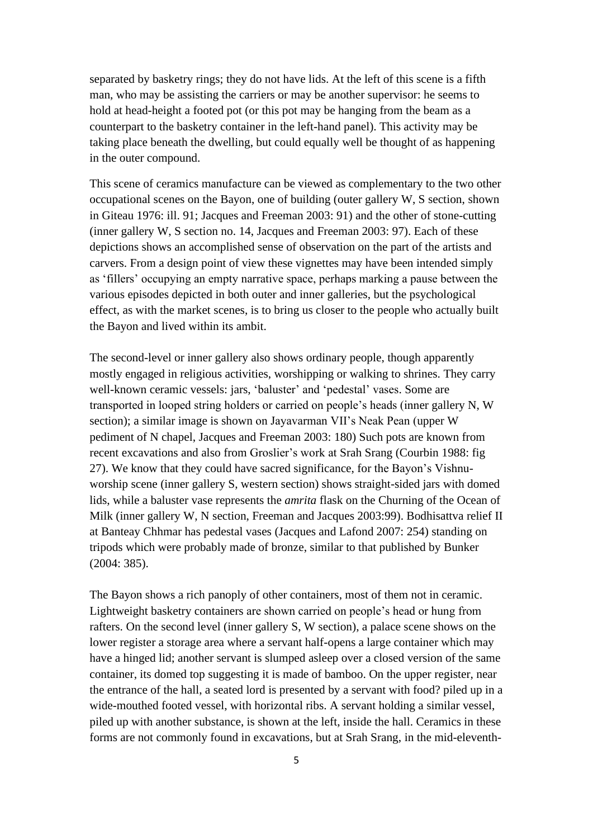separated by basketry rings; they do not have lids. At the left of this scene is a fifth man, who may be assisting the carriers or may be another supervisor: he seems to hold at head-height a footed pot (or this pot may be hanging from the beam as a counterpart to the basketry container in the left-hand panel). This activity may be taking place beneath the dwelling, but could equally well be thought of as happening in the outer compound.

This scene of ceramics manufacture can be viewed as complementary to the two other occupational scenes on the Bayon, one of building (outer gallery W, S section, shown in Giteau 1976: ill. 91; Jacques and Freeman 2003: 91) and the other of stone-cutting (inner gallery W, S section no. 14, Jacques and Freeman 2003: 97). Each of these depictions shows an accomplished sense of observation on the part of the artists and carvers. From a design point of view these vignettes may have been intended simply as 'fillers' occupying an empty narrative space, perhaps marking a pause between the various episodes depicted in both outer and inner galleries, but the psychological effect, as with the market scenes, is to bring us closer to the people who actually built the Bayon and lived within its ambit.

The second-level or inner gallery also shows ordinary people, though apparently mostly engaged in religious activities, worshipping or walking to shrines. They carry well-known ceramic vessels: jars, 'baluster' and 'pedestal' vases. Some are transported in looped string holders or carried on people's heads (inner gallery N, W section); a similar image is shown on Jayavarman VII's Neak Pean (upper W pediment of N chapel, Jacques and Freeman 2003: 180) Such pots are known from recent excavations and also from Groslier's work at Srah Srang (Courbin 1988: fig 27). We know that they could have sacred significance, for the Bayon's Vishnuworship scene (inner gallery S, western section) shows straight-sided jars with domed lids, while a baluster vase represents the *amrita* flask on the Churning of the Ocean of Milk (inner gallery W, N section, Freeman and Jacques 2003:99). Bodhisattva relief II at Banteay Chhmar has pedestal vases (Jacques and Lafond 2007: 254) standing on tripods which were probably made of bronze, similar to that published by Bunker (2004: 385).

The Bayon shows a rich panoply of other containers, most of them not in ceramic. Lightweight basketry containers are shown carried on people's head or hung from rafters. On the second level (inner gallery S, W section), a palace scene shows on the lower register a storage area where a servant half-opens a large container which may have a hinged lid; another servant is slumped asleep over a closed version of the same container, its domed top suggesting it is made of bamboo. On the upper register, near the entrance of the hall, a seated lord is presented by a servant with food? piled up in a wide-mouthed footed vessel, with horizontal ribs. A servant holding a similar vessel, piled up with another substance, is shown at the left, inside the hall. Ceramics in these forms are not commonly found in excavations, but at Srah Srang, in the mid-eleventh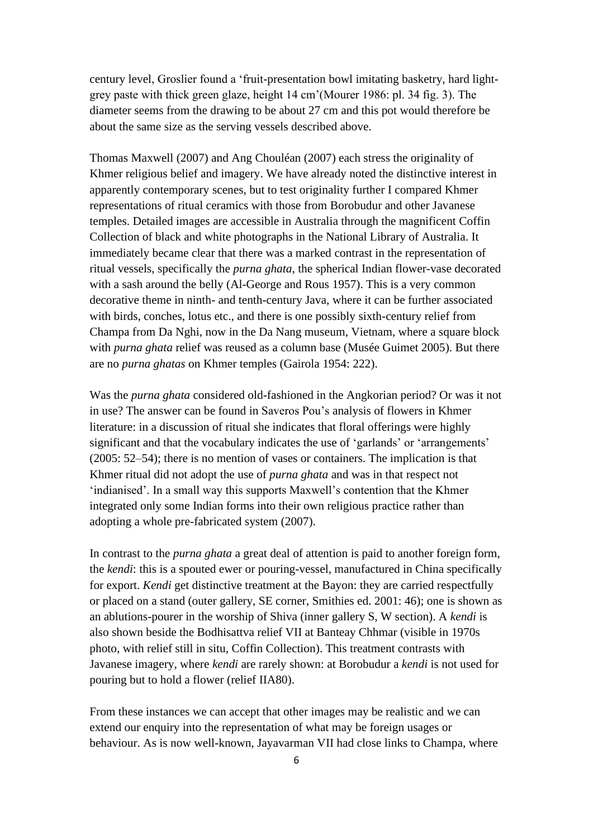century level, Groslier found a 'fruit-presentation bowl imitating basketry, hard lightgrey paste with thick green glaze, height 14 cm'(Mourer 1986: pl. 34 fig. 3). The diameter seems from the drawing to be about 27 cm and this pot would therefore be about the same size as the serving vessels described above.

Thomas Maxwell (2007) and Ang Chouléan (2007) each stress the originality of Khmer religious belief and imagery. We have already noted the distinctive interest in apparently contemporary scenes, but to test originality further I compared Khmer representations of ritual ceramics with those from Borobudur and other Javanese temples. Detailed images are accessible in Australia through the magnificent Coffin Collection of black and white photographs in the National Library of Australia. It immediately became clear that there was a marked contrast in the representation of ritual vessels, specifically the *purna ghata*, the spherical Indian flower-vase decorated with a sash around the belly (Al-George and Rous 1957). This is a very common decorative theme in ninth- and tenth-century Java, where it can be further associated with birds, conches, lotus etc., and there is one possibly sixth-century relief from Champa from Da Nghi, now in the Da Nang museum, Vietnam, where a square block with *purna ghata* relief was reused as a column base (Musée Guimet 2005). But there are no *purna ghatas* on Khmer temples (Gairola 1954: 222).

Was the *purna ghata* considered old-fashioned in the Angkorian period? Or was it not in use? The answer can be found in Saveros Pou's analysis of flowers in Khmer literature: in a discussion of ritual she indicates that floral offerings were highly significant and that the vocabulary indicates the use of 'garlands' or 'arrangements' (2005: 52–54); there is no mention of vases or containers. The implication is that Khmer ritual did not adopt the use of *purna ghata* and was in that respect not 'indianised'. In a small way this supports Maxwell's contention that the Khmer integrated only some Indian forms into their own religious practice rather than adopting a whole pre-fabricated system (2007).

In contrast to the *purna ghata* a great deal of attention is paid to another foreign form, the *kendi*: this is a spouted ewer or pouring-vessel, manufactured in China specifically for export. *Kendi* get distinctive treatment at the Bayon: they are carried respectfully or placed on a stand (outer gallery, SE corner, Smithies ed. 2001: 46); one is shown as an ablutions-pourer in the worship of Shiva (inner gallery S, W section). A *kendi* is also shown beside the Bodhisattva relief VII at Banteay Chhmar (visible in 1970s photo, with relief still in situ, Coffin Collection). This treatment contrasts with Javanese imagery, where *kendi* are rarely shown: at Borobudur a *kendi* is not used for pouring but to hold a flower (relief IIA80).

From these instances we can accept that other images may be realistic and we can extend our enquiry into the representation of what may be foreign usages or behaviour. As is now well-known, Jayavarman VII had close links to Champa, where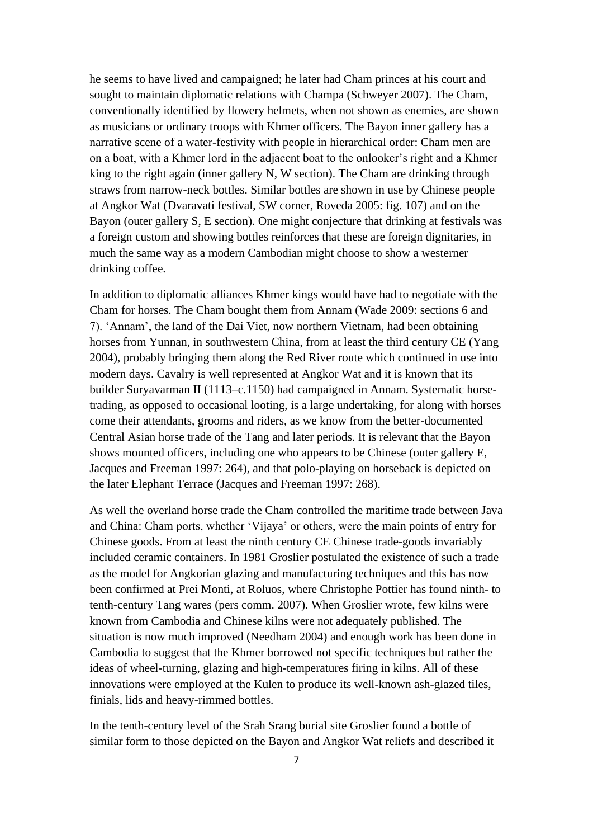he seems to have lived and campaigned; he later had Cham princes at his court and sought to maintain diplomatic relations with Champa (Schweyer 2007). The Cham, conventionally identified by flowery helmets, when not shown as enemies, are shown as musicians or ordinary troops with Khmer officers. The Bayon inner gallery has a narrative scene of a water-festivity with people in hierarchical order: Cham men are on a boat, with a Khmer lord in the adjacent boat to the onlooker's right and a Khmer king to the right again (inner gallery N, W section). The Cham are drinking through straws from narrow-neck bottles. Similar bottles are shown in use by Chinese people at Angkor Wat (Dvaravati festival, SW corner, Roveda 2005: fig. 107) and on the Bayon (outer gallery S, E section). One might conjecture that drinking at festivals was a foreign custom and showing bottles reinforces that these are foreign dignitaries, in much the same way as a modern Cambodian might choose to show a westerner drinking coffee.

In addition to diplomatic alliances Khmer kings would have had to negotiate with the Cham for horses. The Cham bought them from Annam (Wade 2009: sections 6 and 7). 'Annam', the land of the Dai Viet, now northern Vietnam, had been obtaining horses from Yunnan, in southwestern China, from at least the third century CE (Yang 2004), probably bringing them along the Red River route which continued in use into modern days. Cavalry is well represented at Angkor Wat and it is known that its builder Suryavarman II (1113–c.1150) had campaigned in Annam. Systematic horsetrading, as opposed to occasional looting, is a large undertaking, for along with horses come their attendants, grooms and riders, as we know from the better-documented Central Asian horse trade of the Tang and later periods. It is relevant that the Bayon shows mounted officers, including one who appears to be Chinese (outer gallery E, Jacques and Freeman 1997: 264), and that polo-playing on horseback is depicted on the later Elephant Terrace (Jacques and Freeman 1997: 268).

As well the overland horse trade the Cham controlled the maritime trade between Java and China: Cham ports, whether 'Vijaya' or others, were the main points of entry for Chinese goods. From at least the ninth century CE Chinese trade-goods invariably included ceramic containers. In 1981 Groslier postulated the existence of such a trade as the model for Angkorian glazing and manufacturing techniques and this has now been confirmed at Prei Monti, at Roluos, where Christophe Pottier has found ninth- to tenth-century Tang wares (pers comm. 2007). When Groslier wrote, few kilns were known from Cambodia and Chinese kilns were not adequately published. The situation is now much improved (Needham 2004) and enough work has been done in Cambodia to suggest that the Khmer borrowed not specific techniques but rather the ideas of wheel-turning, glazing and high-temperatures firing in kilns. All of these innovations were employed at the Kulen to produce its well-known ash-glazed tiles, finials, lids and heavy-rimmed bottles.

In the tenth-century level of the Srah Srang burial site Groslier found a bottle of similar form to those depicted on the Bayon and Angkor Wat reliefs and described it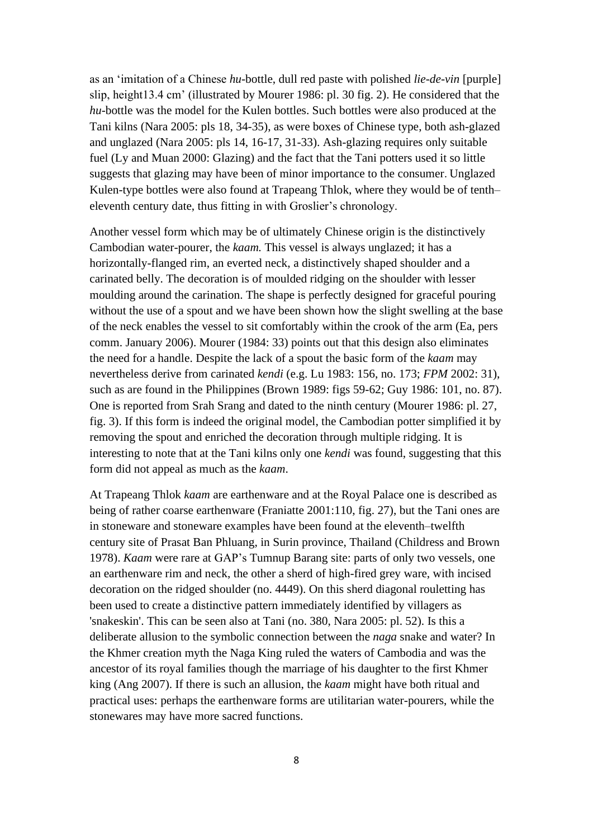as an 'imitation of a Chinese *hu*-bottle, dull red paste with polished *lie-de-vin* [purple] slip, height13.4 cm' (illustrated by Mourer 1986: pl. 30 fig. 2). He considered that the *hu*-bottle was the model for the Kulen bottles. Such bottles were also produced at the Tani kilns (Nara 2005: pls 18, 34-35), as were boxes of Chinese type, both ash-glazed and unglazed (Nara 2005: pls 14, 16-17, 31-33). Ash-glazing requires only suitable fuel (Ly and Muan 2000: Glazing) and the fact that the Tani potters used it so little suggests that glazing may have been of minor importance to the consumer. Unglazed Kulen-type bottles were also found at Trapeang Thlok, where they would be of tenth– eleventh century date, thus fitting in with Groslier's chronology.

Another vessel form which may be of ultimately Chinese origin is the distinctively Cambodian water-pourer, the *kaam.* This vessel is always unglazed; it has a horizontally-flanged rim, an everted neck, a distinctively shaped shoulder and a carinated belly. The decoration is of moulded ridging on the shoulder with lesser moulding around the carination. The shape is perfectly designed for graceful pouring without the use of a spout and we have been shown how the slight swelling at the base of the neck enables the vessel to sit comfortably within the crook of the arm (Ea, pers comm. January 2006). Mourer (1984: 33) points out that this design also eliminates the need for a handle. Despite the lack of a spout the basic form of the *kaam* may nevertheless derive from carinated *kendi* (e.g. Lu 1983: 156, no. 173; *FPM* 2002: 31), such as are found in the Philippines (Brown 1989: figs 59-62; Guy 1986: 101, no. 87). One is reported from Srah Srang and dated to the ninth century (Mourer 1986: pl. 27, fig. 3). If this form is indeed the original model, the Cambodian potter simplified it by removing the spout and enriched the decoration through multiple ridging. It is interesting to note that at the Tani kilns only one *kendi* was found, suggesting that this form did not appeal as much as the *kaam*.

At Trapeang Thlok *kaam* are earthenware and at the Royal Palace one is described as being of rather coarse earthenware (Franiatte 2001:110, fig. 27), but the Tani ones are in stoneware and stoneware examples have been found at the eleventh–twelfth century site of Prasat Ban Phluang, in Surin province, Thailand (Childress and Brown 1978). *Kaam* were rare at GAP's Tumnup Barang site: parts of only two vessels, one an earthenware rim and neck, the other a sherd of high-fired grey ware, with incised decoration on the ridged shoulder (no. 4449). On this sherd diagonal rouletting has been used to create a distinctive pattern immediately identified by villagers as 'snakeskin'. This can be seen also at Tani (no. 380, Nara 2005: pl. 52). Is this a deliberate allusion to the symbolic connection between the *naga* snake and water? In the Khmer creation myth the Naga King ruled the waters of Cambodia and was the ancestor of its royal families though the marriage of his daughter to the first Khmer king (Ang 2007). If there is such an allusion, the *kaam* might have both ritual and practical uses: perhaps the earthenware forms are utilitarian water-pourers, while the stonewares may have more sacred functions.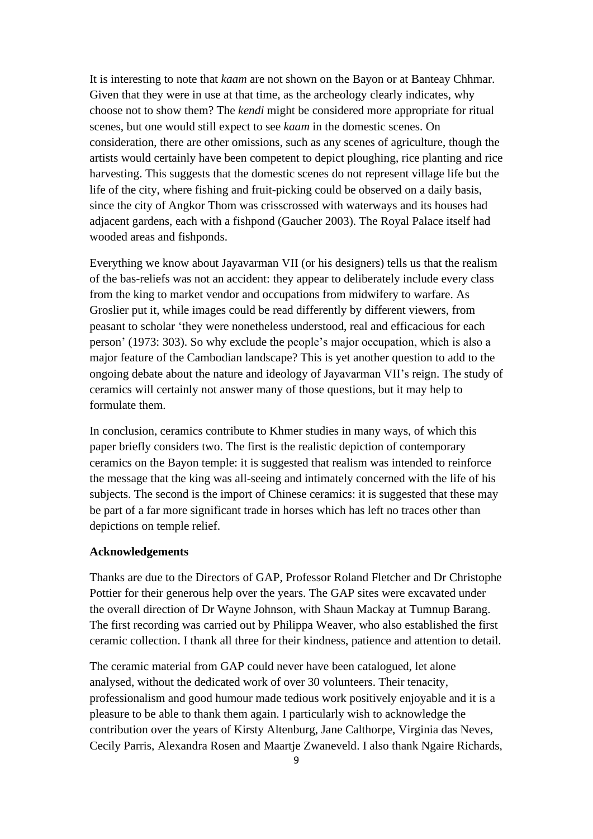It is interesting to note that *kaam* are not shown on the Bayon or at Banteay Chhmar. Given that they were in use at that time, as the archeology clearly indicates, why choose not to show them? The *kendi* might be considered more appropriate for ritual scenes, but one would still expect to see *kaam* in the domestic scenes. On consideration, there are other omissions, such as any scenes of agriculture, though the artists would certainly have been competent to depict ploughing, rice planting and rice harvesting. This suggests that the domestic scenes do not represent village life but the life of the city, where fishing and fruit-picking could be observed on a daily basis, since the city of Angkor Thom was crisscrossed with waterways and its houses had adjacent gardens, each with a fishpond (Gaucher 2003). The Royal Palace itself had wooded areas and fishponds.

Everything we know about Jayavarman VII (or his designers) tells us that the realism of the bas-reliefs was not an accident: they appear to deliberately include every class from the king to market vendor and occupations from midwifery to warfare. As Groslier put it, while images could be read differently by different viewers, from peasant to scholar 'they were nonetheless understood, real and efficacious for each person' (1973: 303). So why exclude the people's major occupation, which is also a major feature of the Cambodian landscape? This is yet another question to add to the ongoing debate about the nature and ideology of Jayavarman VII's reign. The study of ceramics will certainly not answer many of those questions, but it may help to formulate them.

In conclusion, ceramics contribute to Khmer studies in many ways, of which this paper briefly considers two. The first is the realistic depiction of contemporary ceramics on the Bayon temple: it is suggested that realism was intended to reinforce the message that the king was all-seeing and intimately concerned with the life of his subjects. The second is the import of Chinese ceramics: it is suggested that these may be part of a far more significant trade in horses which has left no traces other than depictions on temple relief.

## **Acknowledgements**

Thanks are due to the Directors of GAP, Professor Roland Fletcher and Dr Christophe Pottier for their generous help over the years. The GAP sites were excavated under the overall direction of Dr Wayne Johnson, with Shaun Mackay at Tumnup Barang. The first recording was carried out by Philippa Weaver, who also established the first ceramic collection. I thank all three for their kindness, patience and attention to detail.

The ceramic material from GAP could never have been catalogued, let alone analysed, without the dedicated work of over 30 volunteers. Their tenacity, professionalism and good humour made tedious work positively enjoyable and it is a pleasure to be able to thank them again. I particularly wish to acknowledge the contribution over the years of Kirsty Altenburg, Jane Calthorpe, Virginia das Neves, Cecily Parris, Alexandra Rosen and Maartje Zwaneveld. I also thank Ngaire Richards,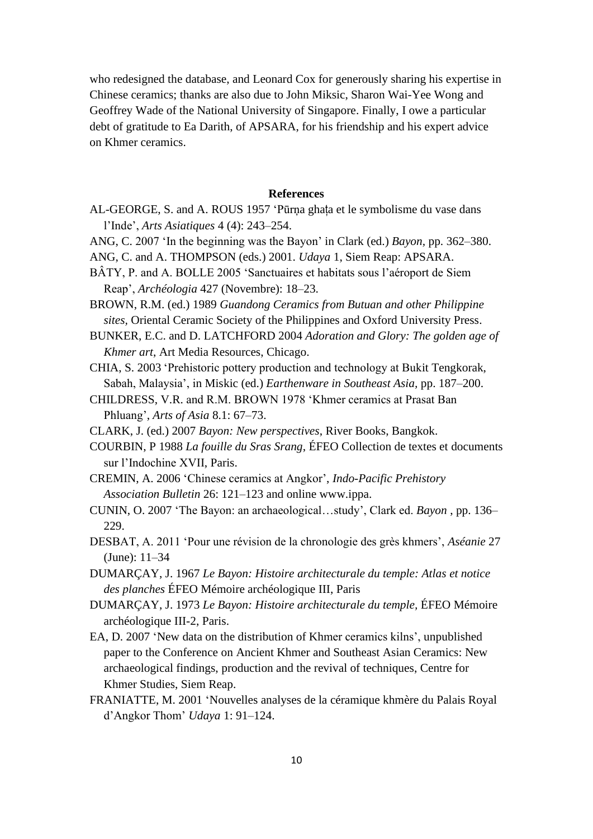who redesigned the database, and Leonard Cox for generously sharing his expertise in Chinese ceramics; thanks are also due to John Miksic, Sharon Wai-Yee Wong and Geoffrey Wade of the National University of Singapore. Finally, I owe a particular debt of gratitude to Ea Darith, of APSARA, for his friendship and his expert advice on Khmer ceramics.

## **References**

- AL-GEORGE, S. and A. ROUS 1957 'Pūrņa ghața et le symbolisme du vase dans l'Inde', *Arts Asiatiques* 4 (4): 243–254.
- ANG, C. 2007 'In the beginning was the Bayon' in Clark (ed.) *Bayon,* pp. 362–380.
- ANG, C. and A. THOMPSON (eds.) 2001. *Udaya* 1, Siem Reap: APSARA.
- BÂTY, P. and A. BOLLE 2005 'Sanctuaires et habitats sous l'aéroport de Siem Reap', *Archéologia* 427 (Novembre): 18–23.
- BROWN, R.M. (ed.) 1989 *Guandong Ceramics from Butuan and other Philippine sites,* Oriental Ceramic Society of the Philippines and Oxford University Press.

BUNKER, E.C. and D. LATCHFORD 2004 *Adoration and Glory: The golden age of Khmer art*, Art Media Resources, Chicago.

CHIA, S. 2003 'Prehistoric pottery production and technology at Bukit Tengkorak, Sabah, Malaysia', in Miskic (ed.) *Earthenware in Southeast Asia,* pp. 187–200.

- CHILDRESS, V.R. and R.M. BROWN 1978 'Khmer ceramics at Prasat Ban Phluang', *Arts of Asia* 8.1: 67–73.
- CLARK, J. (ed.) 2007 *Bayon: New perspectives*, River Books, Bangkok.
- COURBIN, P 1988 *La fouille du Sras Srang*, ÉFEO Collection de textes et documents sur l'Indochine XVII, Paris.
- CREMIN, A. 2006 'Chinese ceramics at Angkor', *Indo-Pacific Prehistory Association Bulletin* 26: 121–123 and online www.ippa.
- CUNIN, O. 2007 'The Bayon: an archaeological…study', Clark ed. *Bayon* , pp. 136– 229.
- DESBAT, A. 2011 'Pour une révision de la chronologie des grès khmers', *Aséanie* 27 (June): 11–34
- DUMARÇAY, J. 1967 *Le Bayon: Histoire architecturale du temple: Atlas et notice des planches* ÉFEO Mémoire archéologique III, Paris
- DUMARÇAY, J. 1973 *Le Bayon: Histoire architecturale du temple,* ÉFEO Mémoire archéologique III-2, Paris.
- EA, D. 2007 'New data on the distribution of Khmer ceramics kilns', unpublished paper to the Conference on Ancient Khmer and Southeast Asian Ceramics: New archaeological findings, production and the revival of techniques, Centre for Khmer Studies, Siem Reap.
- FRANIATTE, M. 2001 'Nouvelles analyses de la céramique khmère du Palais Royal d'Angkor Thom' *Udaya* 1: 91–124.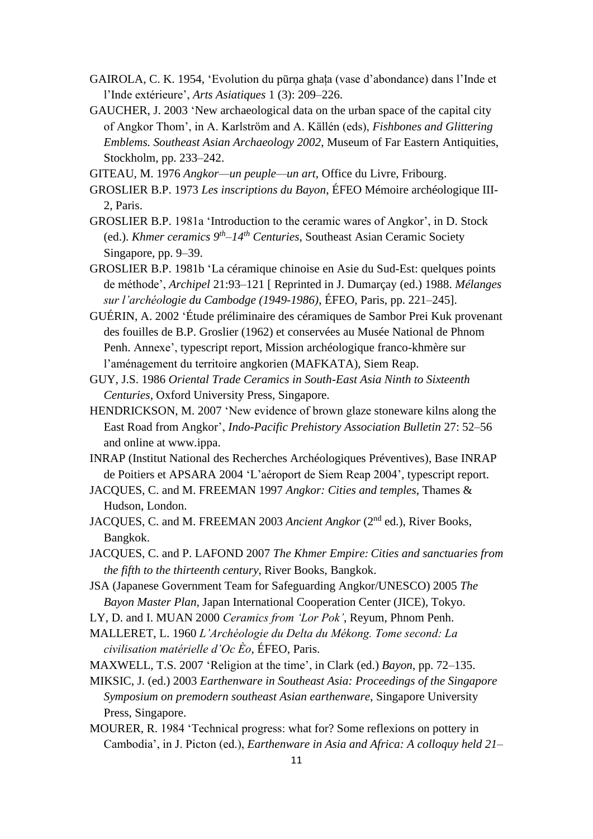- GAIROLA, C. K. 1954, 'Evolution du pūrņa ghața (vase d'abondance) dans l'Inde et l'Inde extérieure', *Arts Asiatiques* 1 (3): 209–226.
- GAUCHER, J. 2003 'New archaeological data on the urban space of the capital city of Angkor Thom', in A. Karlström and A. Källén (eds), *Fishbones and Glittering Emblems. Southeast Asian Archaeology 2002*, Museum of Far Eastern Antiquities, Stockholm, pp. 233–242.
- GITEAU, M. 1976 *Angkor—un peuple—un art*, Office du Livre, Fribourg.
- GROSLIER B.P. 1973 *Les inscriptions du Bayon*, ÉFEO Mémoire archéologique III-2, Paris.
- GROSLIER B.P. 1981a 'Introduction to the ceramic wares of Angkor', in D. Stock (ed.). *Khmer ceramics 9th –14th Centuries*, Southeast Asian Ceramic Society Singapore, pp. 9–39.
- GROSLIER B.P. 1981b 'La céramique chinoise en Asie du Sud-Est: quelques points de méthode', *Archipel* 21:93–121 [ Reprinted in J. Dumarçay (ed.) 1988. *Mélanges sur l'archéologie du Cambodge (1949-1986)*, ÉFEO, Paris, pp. 221–245].
- GUÉRIN, A. 2002 'Étude préliminaire des céramiques de Sambor Prei Kuk provenant des fouilles de B.P. Groslier (1962) et conservées au Musée National de Phnom Penh. Annexe', typescript report, Mission archéologique franco-khmère sur l'aménagement du territoire angkorien (MAFKATA), Siem Reap.
- GUY, J.S. 1986 *Oriental Trade Ceramics in South-East Asia Ninth to Sixteenth Centuries*, Oxford University Press, Singapore.
- HENDRICKSON, M. 2007 'New evidence of brown glaze stoneware kilns along the East Road from Angkor', *Indo-Pacific Prehistory Association Bulletin* 27: 52–56 and online at www.ippa.
- INRAP (Institut National des Recherches Archéologiques Préventives), Base INRAP de Poitiers et APSARA 2004 'L'aéroport de Siem Reap 2004', typescript report.
- JACQUES, C. and M. FREEMAN 1997 *Angkor: Cities and temples*, Thames & Hudson, London.
- JACQUES, C. and M. FREEMAN 2003 *Ancient Angkor* (2<sup>nd</sup> ed.), River Books, Bangkok.
- JACQUES, C. and P. LAFOND 2007 *The Khmer Empire: Cities and sanctuaries from the fifth to the thirteenth century*, River Books, Bangkok.
- JSA (Japanese Government Team for Safeguarding Angkor/UNESCO) 2005 *The Bayon Master Plan,* Japan International Cooperation Center (JICE), Tokyo.
- LY, D. and I. MUAN 2000 *Ceramics from 'Lor Pok'*, Reyum, Phnom Penh.
- MALLERET, L. 1960 *L'Archéologie du Delta du Mékong. Tome second: La civilisation matérielle d'Oc Èo*, ÉFEO, Paris.
- MAXWELL, T.S. 2007 'Religion at the time', in Clark (ed.) *Bayon*, pp. 72–135.
- MIKSIC, J. (ed.) 2003 *Earthenware in Southeast Asia: Proceedings of the Singapore Symposium on premodern southeast Asian earthenware*, Singapore University Press, Singapore.
- MOURER, R. 1984 'Technical progress: what for? Some reflexions on pottery in Cambodia', in J. Picton (ed.), *Earthenware in Asia and Africa: A colloquy held 21–*